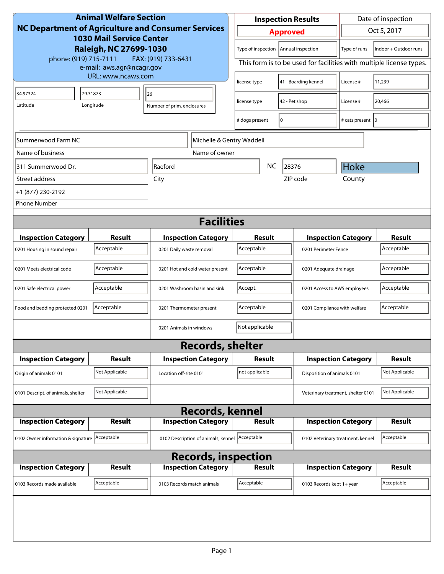| <b>Animal Welfare Section</b><br><b>NC Department of Agriculture and Consumer Services</b><br><b>1030 Mail Service Center</b><br>Raleigh, NC 27699-1030 |                    |                                                | Date of inspection<br><b>Inspection Results</b>                     |                              |                                    |                       |  |
|---------------------------------------------------------------------------------------------------------------------------------------------------------|--------------------|------------------------------------------------|---------------------------------------------------------------------|------------------------------|------------------------------------|-----------------------|--|
|                                                                                                                                                         |                    |                                                | Oct 5, 2017<br><b>Approved</b>                                      |                              |                                    |                       |  |
|                                                                                                                                                         |                    |                                                | Type of inspection   Annual inspection<br>Type of runs              |                              |                                    | Indoor + Outdoor runs |  |
| phone: (919) 715-7111<br>FAX: (919) 733-6431<br>e-mail: aws.agr@ncagr.gov                                                                               |                    |                                                | This form is to be used for facilities with multiple license types. |                              |                                    |                       |  |
|                                                                                                                                                         | URL: www.ncaws.com |                                                | license type                                                        | 41 - Boarding kennel         | License #                          | 11,239                |  |
| 34.97324                                                                                                                                                | 79.31873           | 26                                             | 42 - Pet shop<br>license type                                       |                              | License #                          | 20,466                |  |
| Latitude                                                                                                                                                | Longitude          | Number of prim. enclosures                     |                                                                     |                              |                                    |                       |  |
|                                                                                                                                                         |                    |                                                | # dogs present                                                      | 10                           | # cats present   0                 |                       |  |
| Summerwood Farm NC                                                                                                                                      |                    | Michelle & Gentry Waddell                      |                                                                     |                              |                                    |                       |  |
| Name of business                                                                                                                                        |                    | Name of owner                                  |                                                                     |                              |                                    |                       |  |
| 311 Summerwood Dr.                                                                                                                                      |                    | Raeford                                        | <b>NC</b>                                                           | 28376                        | Hoke                               |                       |  |
| Street address                                                                                                                                          |                    | City                                           |                                                                     | ZIP code                     | County                             |                       |  |
| +1 (877) 230-2192                                                                                                                                       |                    |                                                |                                                                     |                              |                                    |                       |  |
| <b>Phone Number</b>                                                                                                                                     |                    |                                                |                                                                     |                              |                                    |                       |  |
|                                                                                                                                                         |                    | <b>Facilities</b>                              |                                                                     |                              |                                    |                       |  |
| <b>Inspection Category</b>                                                                                                                              | Result             | <b>Inspection Category</b>                     | Result                                                              |                              | <b>Inspection Category</b>         | <b>Result</b>         |  |
| 0201 Housing in sound repair                                                                                                                            | Acceptable         | 0201 Daily waste removal                       | Acceptable                                                          |                              | 0201 Perimeter Fence               |                       |  |
| 0201 Meets electrical code                                                                                                                              | Acceptable         | 0201 Hot and cold water present                | Acceptable                                                          | 0201 Adequate drainage       |                                    | Acceptable            |  |
| 0201 Safe electrical power                                                                                                                              | Acceptable         | 0201 Washroom basin and sink                   | Accept.                                                             | 0201 Access to AWS employees |                                    | Acceptable            |  |
| Food and bedding protected 0201                                                                                                                         | Acceptable         | 0201 Thermometer present                       | Acceptable<br>0201 Compliance with welfare                          |                              | Acceptable                         |                       |  |
|                                                                                                                                                         |                    | 0201 Animals in windows                        | Not applicable                                                      |                              |                                    |                       |  |
|                                                                                                                                                         |                    | <b>Records, shelter</b>                        |                                                                     |                              |                                    |                       |  |
| <b>Inspection Category</b>                                                                                                                              | Result             | <b>Inspection Category</b>                     | Result                                                              |                              | <b>Inspection Category</b>         | <b>Result</b>         |  |
| Origin of animals 0101                                                                                                                                  | Not Applicable     | Location off-site 0101                         | not applicable                                                      | Disposition of animals 0101  |                                    | Not Applicable        |  |
| 0101 Descript. of animals, shelter                                                                                                                      | Not Applicable     |                                                |                                                                     |                              | Veterinary treatment, shelter 0101 | Not Applicable        |  |
| <b>Records, kennel</b>                                                                                                                                  |                    |                                                |                                                                     |                              |                                    |                       |  |
| <b>Inspection Category</b>                                                                                                                              | Result             | <b>Inspection Category</b>                     | <b>Result</b>                                                       |                              | <b>Inspection Category</b>         | <b>Result</b>         |  |
| 0102 Owner information & signature Acceptable                                                                                                           |                    | 0102 Description of animals, kennel Acceptable |                                                                     |                              | 0102 Veterinary treatment, kennel  | Acceptable            |  |
| <b>Records, inspection</b>                                                                                                                              |                    |                                                |                                                                     |                              |                                    |                       |  |
| <b>Inspection Category</b>                                                                                                                              | Result             | <b>Inspection Category</b>                     | <b>Result</b>                                                       |                              | <b>Inspection Category</b>         | <b>Result</b>         |  |
| 0103 Records made available                                                                                                                             | Acceptable         | 0103 Records match animals                     | Acceptable                                                          | 0103 Records kept 1+ year    |                                    | Acceptable            |  |
|                                                                                                                                                         |                    |                                                |                                                                     |                              |                                    |                       |  |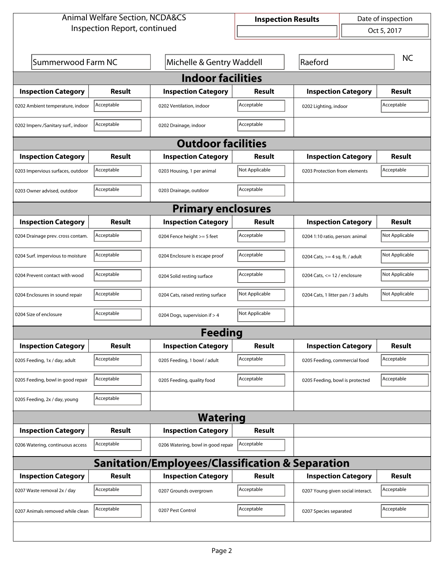| <b>Animal Welfare Section, NCDA&amp;CS</b>       |            |                                    |                           | Date of inspection<br><b>Inspection Results</b> |                                 |                |  |  |
|--------------------------------------------------|------------|------------------------------------|---------------------------|-------------------------------------------------|---------------------------------|----------------|--|--|
| Inspection Report, continued                     |            |                                    |                           | $\left  \right $                                |                                 | Oct 5, 2017    |  |  |
|                                                  |            |                                    |                           |                                                 |                                 |                |  |  |
| Summerwood Farm NC                               |            |                                    | Michelle & Gentry Waddell |                                                 | Raeford                         |                |  |  |
| <b>Indoor facilities</b>                         |            |                                    |                           |                                                 |                                 |                |  |  |
| <b>Inspection Category</b>                       | Result     | <b>Inspection Category</b>         | Result                    | <b>Inspection Category</b>                      |                                 | <b>Result</b>  |  |  |
| 0202 Ambient temperature, indoor                 | Acceptable | 0202 Ventilation, indoor           | Acceptable                | 0202 Lighting, indoor                           | Acceptable                      |                |  |  |
| 0202 Imperv./Sanitary surf., indoor              | Acceptable | 0202 Drainage, indoor              | Acceptable                |                                                 |                                 |                |  |  |
|                                                  |            | <b>Outdoor facilities</b>          |                           |                                                 |                                 |                |  |  |
| <b>Inspection Category</b>                       | Result     | <b>Inspection Category</b>         | Result                    | <b>Inspection Category</b>                      |                                 | <b>Result</b>  |  |  |
| 0203 Impervious surfaces, outdoor                | Acceptable | 0203 Housing, 1 per animal         | Not Applicable            |                                                 | 0203 Protection from elements   |                |  |  |
| 0203 Owner advised, outdoor                      | Acceptable | 0203 Drainage, outdoor             | Acceptable                |                                                 |                                 |                |  |  |
| <b>Primary enclosures</b>                        |            |                                    |                           |                                                 |                                 |                |  |  |
| <b>Inspection Category</b>                       | Result     | <b>Inspection Category</b>         | <b>Result</b>             | <b>Inspection Category</b>                      |                                 | Result         |  |  |
| 0204 Drainage prev. cross contam.                | Acceptable | 0204 Fence height >= 5 feet        | Acceptable                |                                                 | 0204 1:10 ratio, person: animal |                |  |  |
| 0204 Surf. impervious to moisture                | Acceptable | 0204 Enclosure is escape proof     | Acceptable                | 0204 Cats, $>=$ 4 sq. ft. / adult               |                                 | Not Applicable |  |  |
| 0204 Prevent contact with wood                   | Acceptable | 0204 Solid resting surface         | Acceptable                | 0204 Cats, $<= 12$ / enclosure                  |                                 | Not Applicable |  |  |
| 0204 Enclosures in sound repair                  | Acceptable | 0204 Cats, raised resting surface  | Not Applicable            | 0204 Cats, 1 litter pan / 3 adults              |                                 | Not Applicable |  |  |
| 0204 Size of enclosure                           | Acceptable | 0204 Dogs, supervision if > 4      | Not Applicable            |                                                 |                                 |                |  |  |
|                                                  |            | <b>Feeding</b>                     |                           |                                                 |                                 |                |  |  |
| <b>Inspection Category</b>                       | Result     | <b>Inspection Category</b>         | Result                    | <b>Inspection Category</b>                      |                                 | Result         |  |  |
| 0205 Feeding, 1x / day, adult                    | Acceptable | 0205 Feeding, 1 bowl / adult       | Acceptable                | 0205 Feeding, commercial food                   |                                 | Acceptable     |  |  |
| 0205 Feeding, bowl in good repair                | Acceptable | 0205 Feeding, quality food         | Acceptable                |                                                 | 0205 Feeding, bowl is protected |                |  |  |
| 0205 Feeding, 2x / day, young                    | Acceptable |                                    |                           |                                                 |                                 |                |  |  |
| <b>Watering</b>                                  |            |                                    |                           |                                                 |                                 |                |  |  |
| <b>Inspection Category</b>                       | Result     | <b>Inspection Category</b>         | Result                    |                                                 |                                 |                |  |  |
| 0206 Watering, continuous access                 | Acceptable | 0206 Watering, bowl in good repair | Acceptable                |                                                 |                                 |                |  |  |
| Sanitation/Employees/Classification & Separation |            |                                    |                           |                                                 |                                 |                |  |  |
| <b>Inspection Category</b>                       | Result     | <b>Inspection Category</b>         | Result                    | <b>Inspection Category</b>                      |                                 | Result         |  |  |
| 0207 Waste removal 2x / day                      | Acceptable | 0207 Grounds overgrown             | Acceptable                | 0207 Young given social interact.               |                                 | Acceptable     |  |  |
| 0207 Animals removed while clean                 | Acceptable | 0207 Pest Control                  | Acceptable                | 0207 Species separated                          |                                 | Acceptable     |  |  |
|                                                  |            |                                    |                           |                                                 |                                 |                |  |  |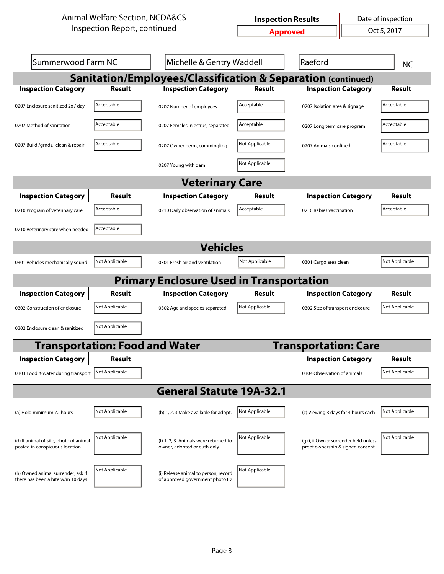| <b>Animal Welfare Section, NCDA&amp;CS</b>                               |                                       |                                                                         |                 | Date of inspection<br><b>Inspection Results</b>                           |                               |                |  |  |
|--------------------------------------------------------------------------|---------------------------------------|-------------------------------------------------------------------------|-----------------|---------------------------------------------------------------------------|-------------------------------|----------------|--|--|
| Inspection Report, continued                                             |                                       |                                                                         | <b>Approved</b> |                                                                           |                               | Oct 5, 2017    |  |  |
|                                                                          |                                       |                                                                         |                 |                                                                           |                               |                |  |  |
| Summerwood Farm NC                                                       |                                       | Michelle & Gentry Waddell                                               |                 | Raeford                                                                   |                               | <b>NC</b>      |  |  |
| <b>Sanitation/Employees/Classification &amp; Separation (continued)</b>  |                                       |                                                                         |                 |                                                                           |                               |                |  |  |
| <b>Inspection Category</b>                                               | <b>Result</b>                         | <b>Inspection Category</b>                                              | <b>Result</b>   | <b>Inspection Category</b>                                                |                               | <b>Result</b>  |  |  |
| 0207 Enclosure sanitized 2x / day                                        | Acceptable                            | 0207 Number of employees                                                | Acceptable      |                                                                           | 0207 Isolation area & signage |                |  |  |
| 0207 Method of sanitation                                                | Acceptable                            | 0207 Females in estrus, separated                                       | Acceptable      |                                                                           | 0207 Long term care program   |                |  |  |
| 0207 Build./grnds., clean & repair                                       | Acceptable                            | 0207 Owner perm, commingling                                            | Not Applicable  |                                                                           | 0207 Animals confined         |                |  |  |
|                                                                          |                                       | 0207 Young with dam                                                     | Not Applicable  |                                                                           |                               |                |  |  |
| <b>Veterinary Care</b>                                                   |                                       |                                                                         |                 |                                                                           |                               |                |  |  |
| <b>Inspection Category</b>                                               | Result                                | <b>Inspection Category</b>                                              | Result          | <b>Inspection Category</b>                                                |                               | <b>Result</b>  |  |  |
| 0210 Program of veterinary care                                          | Acceptable                            | 0210 Daily observation of animals                                       | Acceptable      | 0210 Rabies vaccination                                                   |                               | Acceptable     |  |  |
| 0210 Veterinary care when needed                                         | Acceptable                            |                                                                         |                 |                                                                           |                               |                |  |  |
|                                                                          |                                       | <b>Vehicles</b>                                                         |                 |                                                                           |                               |                |  |  |
| 0301 Vehicles mechanically sound                                         | Not Applicable                        | 0301 Fresh air and ventilation                                          | Not Applicable  | 0301 Cargo area clean                                                     |                               | Not Applicable |  |  |
|                                                                          |                                       | <b>Primary Enclosure Used in Transportation</b>                         |                 |                                                                           |                               |                |  |  |
| <b>Inspection Category</b>                                               | Result                                | <b>Inspection Category</b>                                              | <b>Result</b>   | <b>Inspection Category</b>                                                |                               | <b>Result</b>  |  |  |
| 0302 Construction of enclosure                                           | Not Applicable                        | 0302 Age and species separated                                          | Not Applicable  | 0302 Size of transport enclosure                                          |                               | Not Applicable |  |  |
| 0302 Enclosure clean & sanitized                                         | Not Applicable                        |                                                                         |                 |                                                                           |                               |                |  |  |
|                                                                          | <b>Transportation: Food and Water</b> |                                                                         |                 | <b>Transportation: Care</b>                                               |                               |                |  |  |
| <b>Inspection Category</b>                                               | <b>Result</b>                         |                                                                         |                 | <b>Inspection Category</b>                                                |                               | <b>Result</b>  |  |  |
| 0303 Food & water during transport                                       | Not Applicable                        |                                                                         |                 | 0304 Observation of animals                                               |                               | Not Applicable |  |  |
|                                                                          |                                       | <b>General Statute 19A-32.1</b>                                         |                 |                                                                           |                               |                |  |  |
| (a) Hold minimum 72 hours                                                | Not Applicable                        | (b) 1, 2, 3 Make available for adopt.                                   | Not Applicable  | (c) Viewing 3 days for 4 hours each                                       |                               | Not Applicable |  |  |
| (d) If animal offsite, photo of animal<br>posted in conspicuous location | Not Applicable                        | (f) 1, 2, 3 Animals were returned to<br>owner, adopted or euth only     | Not Applicable  | (g) i, ii Owner surrender held unless<br>proof ownership & signed consent |                               | Not Applicable |  |  |
| (h) Owned animal surrender, ask if<br>there has been a bite w/in 10 days | Not Applicable                        | (i) Release animal to person, record<br>of approved government photo ID | Not Applicable  |                                                                           |                               |                |  |  |
|                                                                          |                                       |                                                                         |                 |                                                                           |                               |                |  |  |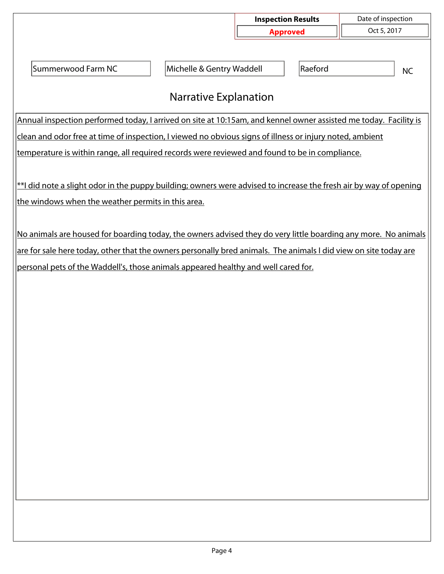|                                                                                                                                                                                                                                    |                           | <b>Inspection Results</b> | Date of inspection |  |  |  |  |  |  |
|------------------------------------------------------------------------------------------------------------------------------------------------------------------------------------------------------------------------------------|---------------------------|---------------------------|--------------------|--|--|--|--|--|--|
|                                                                                                                                                                                                                                    |                           | <b>Approved</b>           | Oct 5, 2017        |  |  |  |  |  |  |
|                                                                                                                                                                                                                                    |                           |                           |                    |  |  |  |  |  |  |
| Summerwood Farm NC                                                                                                                                                                                                                 | Michelle & Gentry Waddell | Raeford                   | <b>NC</b>          |  |  |  |  |  |  |
| <b>Narrative Explanation</b>                                                                                                                                                                                                       |                           |                           |                    |  |  |  |  |  |  |
| Annual inspection performed today, I arrived on site at 10:15am, and kennel owner assisted me today. Facility is                                                                                                                   |                           |                           |                    |  |  |  |  |  |  |
| clean and odor free at time of inspection, I viewed no obvious signs of illness or injury noted, ambient                                                                                                                           |                           |                           |                    |  |  |  |  |  |  |
| temperature is within range, all required records were reviewed and found to be in compliance.                                                                                                                                     |                           |                           |                    |  |  |  |  |  |  |
|                                                                                                                                                                                                                                    |                           |                           |                    |  |  |  |  |  |  |
| $*$ l did note a slight odor in the puppy building; owners were advised to increase the fresh air by way of opening                                                                                                                |                           |                           |                    |  |  |  |  |  |  |
| the windows when the weather permits in this area.                                                                                                                                                                                 |                           |                           |                    |  |  |  |  |  |  |
|                                                                                                                                                                                                                                    |                           |                           |                    |  |  |  |  |  |  |
| No animals are housed for boarding today, the owners advised they do very little boarding any more. No animals<br>are for sale here today, other that the owners personally bred animals. The animals I did view on site today are |                           |                           |                    |  |  |  |  |  |  |
| personal pets of the Waddell's, those animals appeared healthy and well cared for.                                                                                                                                                 |                           |                           |                    |  |  |  |  |  |  |
|                                                                                                                                                                                                                                    |                           |                           |                    |  |  |  |  |  |  |
|                                                                                                                                                                                                                                    |                           |                           |                    |  |  |  |  |  |  |
|                                                                                                                                                                                                                                    |                           |                           |                    |  |  |  |  |  |  |
|                                                                                                                                                                                                                                    |                           |                           |                    |  |  |  |  |  |  |
|                                                                                                                                                                                                                                    |                           |                           |                    |  |  |  |  |  |  |
|                                                                                                                                                                                                                                    |                           |                           |                    |  |  |  |  |  |  |
|                                                                                                                                                                                                                                    |                           |                           |                    |  |  |  |  |  |  |
|                                                                                                                                                                                                                                    |                           |                           |                    |  |  |  |  |  |  |
|                                                                                                                                                                                                                                    |                           |                           |                    |  |  |  |  |  |  |
|                                                                                                                                                                                                                                    |                           |                           |                    |  |  |  |  |  |  |
|                                                                                                                                                                                                                                    |                           |                           |                    |  |  |  |  |  |  |
|                                                                                                                                                                                                                                    |                           |                           |                    |  |  |  |  |  |  |
|                                                                                                                                                                                                                                    |                           |                           |                    |  |  |  |  |  |  |
|                                                                                                                                                                                                                                    |                           |                           |                    |  |  |  |  |  |  |
|                                                                                                                                                                                                                                    |                           |                           |                    |  |  |  |  |  |  |
|                                                                                                                                                                                                                                    |                           |                           |                    |  |  |  |  |  |  |